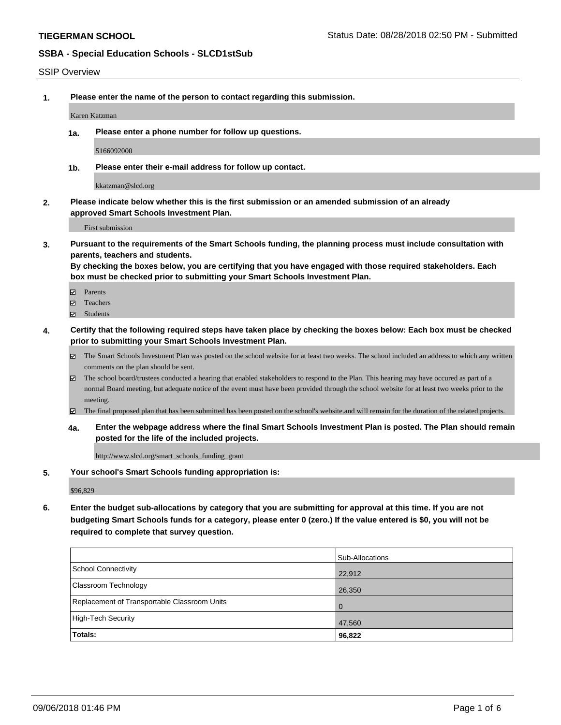### SSIP Overview

**1. Please enter the name of the person to contact regarding this submission.**

Karen Katzman

**1a. Please enter a phone number for follow up questions.**

5166092000

**1b. Please enter their e-mail address for follow up contact.**

kkatzman@slcd.org

**2. Please indicate below whether this is the first submission or an amended submission of an already approved Smart Schools Investment Plan.**

First submission

**3. Pursuant to the requirements of the Smart Schools funding, the planning process must include consultation with parents, teachers and students.**

**By checking the boxes below, you are certifying that you have engaged with those required stakeholders. Each box must be checked prior to submitting your Smart Schools Investment Plan.**

- Parents
- Teachers
- Students
- **4. Certify that the following required steps have taken place by checking the boxes below: Each box must be checked prior to submitting your Smart Schools Investment Plan.**
	- The Smart Schools Investment Plan was posted on the school website for at least two weeks. The school included an address to which any written comments on the plan should be sent.
	- The school board/trustees conducted a hearing that enabled stakeholders to respond to the Plan. This hearing may have occured as part of a normal Board meeting, but adequate notice of the event must have been provided through the school website for at least two weeks prior to the meeting.
	- The final proposed plan that has been submitted has been posted on the school's website.and will remain for the duration of the related projects.
	- **4a. Enter the webpage address where the final Smart Schools Investment Plan is posted. The Plan should remain posted for the life of the included projects.**

http://www.slcd.org/smart\_schools\_funding\_grant

**5. Your school's Smart Schools funding appropriation is:**

\$96,829

**6. Enter the budget sub-allocations by category that you are submitting for approval at this time. If you are not budgeting Smart Schools funds for a category, please enter 0 (zero.) If the value entered is \$0, you will not be required to complete that survey question.**

|                                              | Sub-Allocations |
|----------------------------------------------|-----------------|
| School Connectivity                          | 22,912          |
| <b>Classroom Technology</b>                  | 26,350          |
| Replacement of Transportable Classroom Units | $\overline{0}$  |
| High-Tech Security                           | 47,560          |
| Totals:                                      | 96,822          |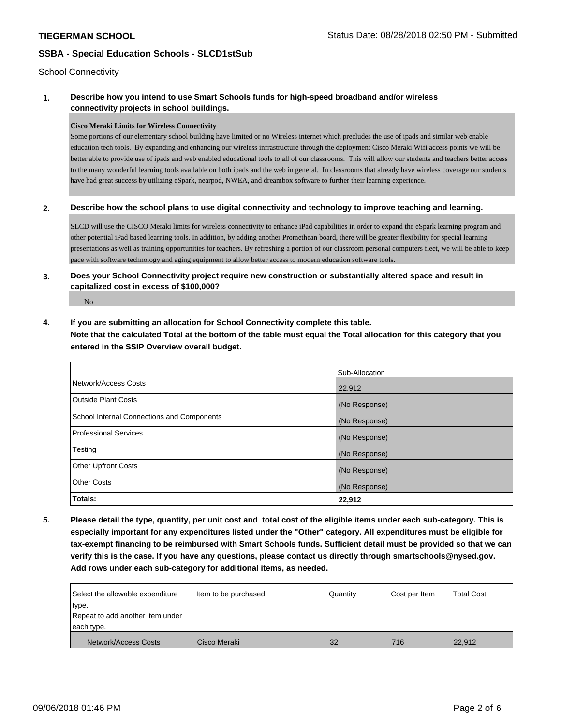School Connectivity

# **1. Describe how you intend to use Smart Schools funds for high-speed broadband and/or wireless connectivity projects in school buildings.**

### **Cisco Meraki Limits for Wireless Connectivity**

Some portions of our elementary school building have limited or no Wireless internet which precludes the use of ipads and similar web enable education tech tools. By expanding and enhancing our wireless infrastructure through the deployment Cisco Meraki Wifi access points we will be better able to provide use of ipads and web enabled educational tools to all of our classrooms. This will allow our students and teachers better access to the many wonderful learning tools available on both ipads and the web in general. In classrooms that already have wireless coverage our students have had great success by utilizing eSpark, nearpod, NWEA, and dreambox software to further their learning experience.

### **2. Describe how the school plans to use digital connectivity and technology to improve teaching and learning.**

SLCD will use the CISCO Meraki limits for wireless connectivity to enhance iPad capabilities in order to expand the eSpark learning program and other potential iPad based learning tools. In addition, by adding another Promethean board, there will be greater flexibility for special learning presentations as well as training opportunities for teachers. By refreshing a portion of our classroom personal computers fleet, we will be able to keep pace with software technology and aging equipment to allow better access to modern education software tools.

# **3. Does your School Connectivity project require new construction or substantially altered space and result in capitalized cost in excess of \$100,000?**

No

### **4. If you are submitting an allocation for School Connectivity complete this table.**

**Note that the calculated Total at the bottom of the table must equal the Total allocation for this category that you entered in the SSIP Overview overall budget.** 

|                                            | Sub-Allocation |
|--------------------------------------------|----------------|
| Network/Access Costs                       | 22,912         |
| <b>Outside Plant Costs</b>                 | (No Response)  |
| School Internal Connections and Components | (No Response)  |
| <b>Professional Services</b>               | (No Response)  |
| Testing                                    | (No Response)  |
| <b>Other Upfront Costs</b>                 | (No Response)  |
| <b>Other Costs</b>                         | (No Response)  |
| Totals:                                    | 22,912         |

**5. Please detail the type, quantity, per unit cost and total cost of the eligible items under each sub-category. This is especially important for any expenditures listed under the "Other" category. All expenditures must be eligible for tax-exempt financing to be reimbursed with Smart Schools funds. Sufficient detail must be provided so that we can verify this is the case. If you have any questions, please contact us directly through smartschools@nysed.gov. Add rows under each sub-category for additional items, as needed.**

| Select the allowable expenditure | Item to be purchased | Quantity | Cost per Item | <b>Total Cost</b> |
|----------------------------------|----------------------|----------|---------------|-------------------|
| type.                            |                      |          |               |                   |
| Repeat to add another item under |                      |          |               |                   |
| each type.                       |                      |          |               |                   |
| Network/Access Costs             | Cisco Meraki         | 32       | 716           | 22,912            |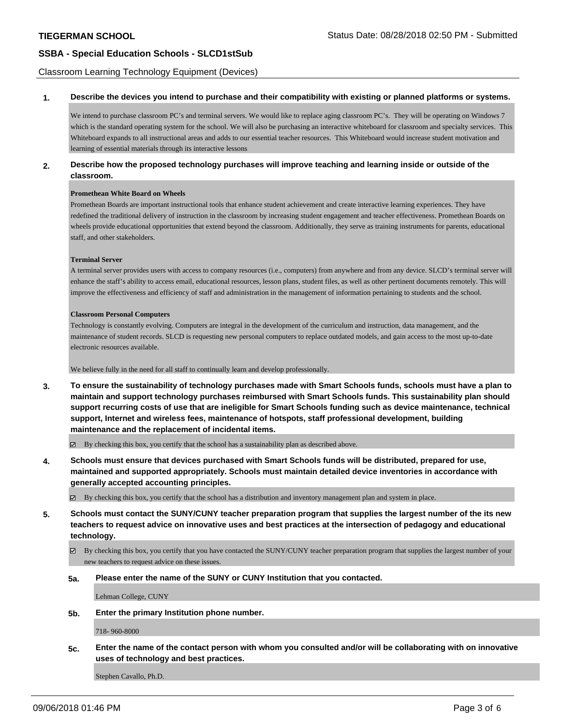Classroom Learning Technology Equipment (Devices)

#### **1. Describe the devices you intend to purchase and their compatibility with existing or planned platforms or systems.**

We intend to purchase classroom PC's and terminal servers. We would like to replace aging classroom PC's. They will be operating on Windows 7 which is the standard operating system for the school. We will also be purchasing an interactive whiteboard for classroom and specialty services. This Whiteboard expands to all instructional areas and adds to our essential teacher resources. This Whiteboard would increase student motivation and learning of essential materials through its interactive lessons

### **2. Describe how the proposed technology purchases will improve teaching and learning inside or outside of the classroom.**

#### **Promethean White Board on Wheels**

Promethean Boards are important instructional tools that enhance student achievement and create interactive learning experiences. They have redefined the traditional delivery of instruction in the classroom by increasing student engagement and teacher effectiveness. Promethean Boards on wheels provide educational opportunities that extend beyond the classroom. Additionally, they serve as training instruments for parents, educational staff, and other stakeholders.

#### **Terminal Server**

A terminal server provides users with access to company resources (i.e., computers) from anywhere and from any device. SLCD's terminal server will enhance the staff's ability to access email, educational resources, lesson plans, student files, as well as other pertinent documents remotely. This will improve the effectiveness and efficiency of staff and administration in the management of information pertaining to students and the school.

#### **Classroom Personal Computers**

Technology is constantly evolving. Computers are integral in the development of the curriculum and instruction, data management, and the maintenance of student records. SLCD is requesting new personal computers to replace outdated models, and gain access to the most up-to-date electronic resources available.

#### We believe fully in the need for all staff to continually learn and develop professionally.

**3. To ensure the sustainability of technology purchases made with Smart Schools funds, schools must have a plan to maintain and support technology purchases reimbursed with Smart Schools funds. This sustainability plan should support recurring costs of use that are ineligible for Smart Schools funding such as device maintenance, technical support, Internet and wireless fees, maintenance of hotspots, staff professional development, building maintenance and the replacement of incidental items.**

 $\boxtimes$  By checking this box, you certify that the school has a sustainability plan as described above.

**4. Schools must ensure that devices purchased with Smart Schools funds will be distributed, prepared for use, maintained and supported appropriately. Schools must maintain detailed device inventories in accordance with generally accepted accounting principles.**

By checking this box, you certify that the school has a distribution and inventory management plan and system in place.

**5. Schools must contact the SUNY/CUNY teacher preparation program that supplies the largest number of the its new teachers to request advice on innovative uses and best practices at the intersection of pedagogy and educational technology.**

 $\boxtimes$  By checking this box, you certify that you have contacted the SUNY/CUNY teacher preparation program that supplies the largest number of your new teachers to request advice on these issues.

**5a. Please enter the name of the SUNY or CUNY Institution that you contacted.**

Lehman College, CUNY

**5b. Enter the primary Institution phone number.**

718- 960-8000

**5c. Enter the name of the contact person with whom you consulted and/or will be collaborating with on innovative uses of technology and best practices.**

Stephen Cavallo, Ph.D.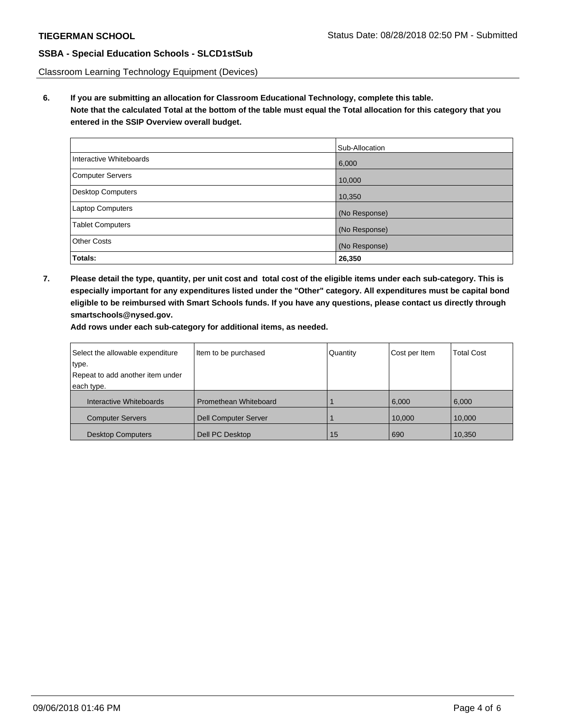Classroom Learning Technology Equipment (Devices)

**6. If you are submitting an allocation for Classroom Educational Technology, complete this table. Note that the calculated Total at the bottom of the table must equal the Total allocation for this category that you entered in the SSIP Overview overall budget.**

|                          | Sub-Allocation |
|--------------------------|----------------|
| Interactive Whiteboards  | 6,000          |
| <b>Computer Servers</b>  | 10,000         |
| <b>Desktop Computers</b> | 10,350         |
| <b>Laptop Computers</b>  | (No Response)  |
| <b>Tablet Computers</b>  | (No Response)  |
| <b>Other Costs</b>       | (No Response)  |
| Totals:                  | 26,350         |

**7. Please detail the type, quantity, per unit cost and total cost of the eligible items under each sub-category. This is especially important for any expenditures listed under the "Other" category. All expenditures must be capital bond eligible to be reimbursed with Smart Schools funds. If you have any questions, please contact us directly through smartschools@nysed.gov.**

**Add rows under each sub-category for additional items, as needed.**

| Select the allowable expenditure | Item to be purchased        | Quantity | Cost per Item | <b>Total Cost</b> |
|----------------------------------|-----------------------------|----------|---------------|-------------------|
| type.                            |                             |          |               |                   |
| Repeat to add another item under |                             |          |               |                   |
| each type.                       |                             |          |               |                   |
| Interactive Whiteboards          | Promethean Whiteboard       |          | 6,000         | 6.000             |
| <b>Computer Servers</b>          | <b>Dell Computer Server</b> |          | 10,000        | 10,000            |
| <b>Desktop Computers</b>         | Dell PC Desktop             | 15       | 690           | 10,350            |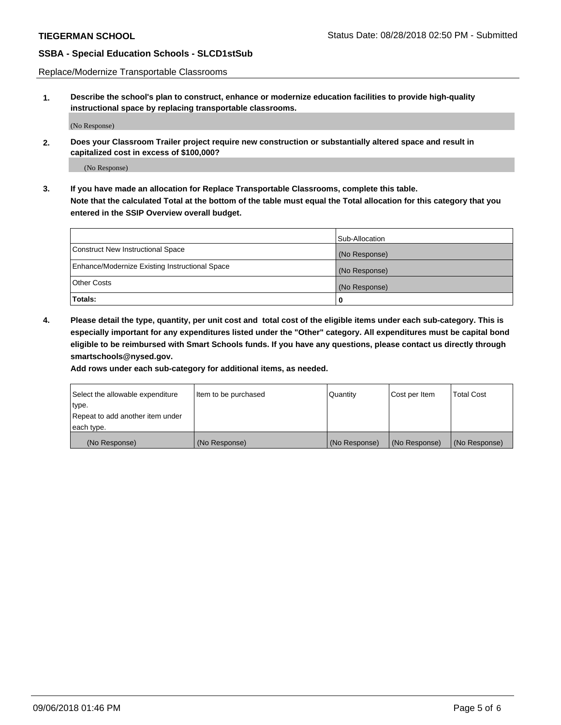Replace/Modernize Transportable Classrooms

**1. Describe the school's plan to construct, enhance or modernize education facilities to provide high-quality instructional space by replacing transportable classrooms.**

(No Response)

**2. Does your Classroom Trailer project require new construction or substantially altered space and result in capitalized cost in excess of \$100,000?**

(No Response)

**3. If you have made an allocation for Replace Transportable Classrooms, complete this table. Note that the calculated Total at the bottom of the table must equal the Total allocation for this category that you entered in the SSIP Overview overall budget.**

|                                                | Sub-Allocation |
|------------------------------------------------|----------------|
| Construct New Instructional Space              | (No Response)  |
| Enhance/Modernize Existing Instructional Space | (No Response)  |
| Other Costs                                    | (No Response)  |
| Totals:                                        | 0              |

**4. Please detail the type, quantity, per unit cost and total cost of the eligible items under each sub-category. This is especially important for any expenditures listed under the "Other" category. All expenditures must be capital bond eligible to be reimbursed with Smart Schools funds. If you have any questions, please contact us directly through smartschools@nysed.gov.**

**Add rows under each sub-category for additional items, as needed.**

| Select the allowable expenditure | lltem to be purchased | Quantity      | Cost per Item | <b>Total Cost</b> |
|----------------------------------|-----------------------|---------------|---------------|-------------------|
| type.                            |                       |               |               |                   |
| Repeat to add another item under |                       |               |               |                   |
| each type.                       |                       |               |               |                   |
| (No Response)                    | (No Response)         | (No Response) | (No Response) | (No Response)     |